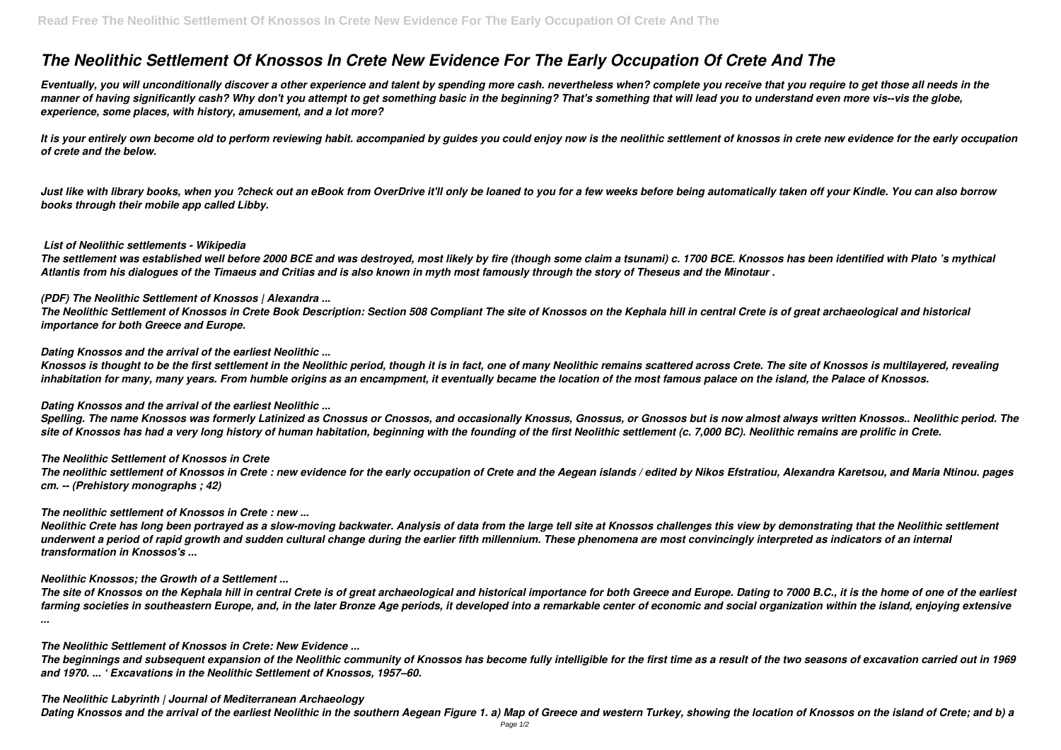# *The Neolithic Settlement Of Knossos In Crete New Evidence For The Early Occupation Of Crete And The*

*Eventually, you will unconditionally discover a other experience and talent by spending more cash. nevertheless when? complete you receive that you require to get those all needs in the manner of having significantly cash? Why don't you attempt to get something basic in the beginning? That's something that will lead you to understand even more vis--vis the globe, experience, some places, with history, amusement, and a lot more?*

It is your entirely own become old to perform reviewing habit. accompanied by guides you could enjoy now is the neolithic settlement of knossos in crete new evidence for the early occupation *of crete and the below.*

*Just like with library books, when you ?check out an eBook from OverDrive it'll only be loaned to you for a few weeks before being automatically taken off your Kindle. You can also borrow books through their mobile app called Libby.*

#### *List of Neolithic settlements - Wikipedia*

*The settlement was established well before 2000 BCE and was destroyed, most likely by fire (though some claim a tsunami) c. 1700 BCE. Knossos has been identified with Plato 's mythical Atlantis from his dialogues of the Timaeus and Critias and is also known in myth most famously through the story of Theseus and the Minotaur .*

## *(PDF) The Neolithic Settlement of Knossos | Alexandra ...*

*The Neolithic Settlement of Knossos in Crete Book Description: Section 508 Compliant The site of Knossos on the Kephala hill in central Crete is of great archaeological and historical importance for both Greece and Europe.*

## *Dating Knossos and the arrival of the earliest Neolithic ...*

*Knossos is thought to be the first settlement in the Neolithic period, though it is in fact, one of many Neolithic remains scattered across Crete. The site of Knossos is multilayered, revealing inhabitation for many, many years. From humble origins as an encampment, it eventually became the location of the most famous palace on the island, the Palace of Knossos.*

# *Dating Knossos and the arrival of the earliest Neolithic ...*

*Spelling. The name Knossos was formerly Latinized as Cnossus or Cnossos, and occasionally Knossus, Gnossus, or Gnossos but is now almost always written Knossos.. Neolithic period. The site of Knossos has had a very long history of human habitation, beginning with the founding of the first Neolithic settlement (c. 7,000 BC). Neolithic remains are prolific in Crete.*

# *The Neolithic Settlement of Knossos in Crete*

*The neolithic settlement of Knossos in Crete : new evidence for the early occupation of Crete and the Aegean islands / edited by Nikos Efstratiou, Alexandra Karetsou, and Maria Ntinou. pages cm. -- (Prehistory monographs ; 42)*

# *The neolithic settlement of Knossos in Crete : new ...*

*Neolithic Crete has long been portrayed as a slow-moving backwater. Analysis of data from the large tell site at Knossos challenges this view by demonstrating that the Neolithic settlement underwent a period of rapid growth and sudden cultural change during the earlier fifth millennium. These phenomena are most convincingly interpreted as indicators of an internal transformation in Knossos's ...*

# *Neolithic Knossos; the Growth of a Settlement ...*

*The site of Knossos on the Kephala hill in central Crete is of great archaeological and historical importance for both Greece and Europe. Dating to 7000 B.C., it is the home of one of the earliest farming societies in southeastern Europe, and, in the later Bronze Age periods, it developed into a remarkable center of economic and social organization within the island, enjoying extensive ...*

#### *The Neolithic Settlement of Knossos in Crete: New Evidence ...*

*The beginnings and subsequent expansion of the Neolithic community of Knossos has become fully intelligible for the first time as a result of the two seasons of excavation carried out in 1969 and 1970. ... ' Excavations in the Neolithic Settlement of Knossos, 1957–60.*

# *The Neolithic Labyrinth | Journal of Mediterranean Archaeology*

*Dating Knossos and the arrival of the earliest Neolithic in the southern Aegean Figure 1. a) Map of Greece and western Turkey, showing the location of Knossos on the island of Crete; and b) a*